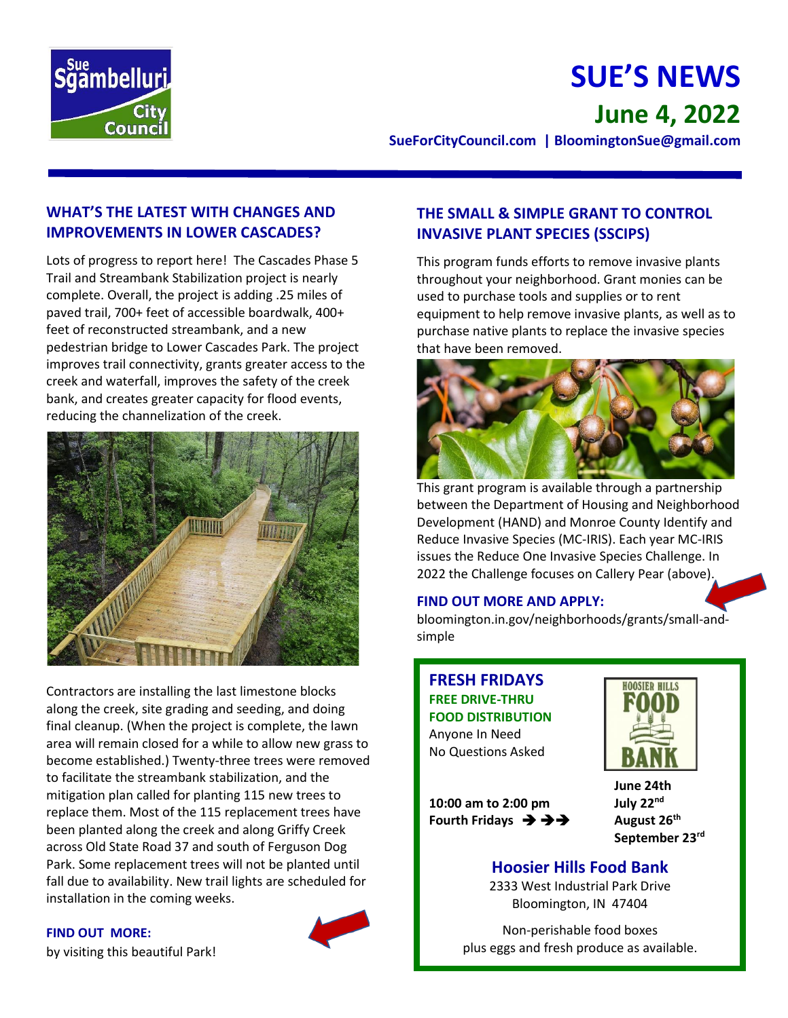

# **SUE'S NEWS June 4, 2022**

**SueForCityCouncil.com | BloomingtonSue@gmail.com** 

## **WHAT'S THE LATEST WITH CHANGES AND IMPROVEMENTS IN LOWER CASCADES?**

Lots of progress to report here! The Cascades Phase 5 Trail and Streambank Stabilization project is nearly complete. Overall, the project is adding .25 miles of paved trail, 700+ feet of accessible boardwalk, 400+ feet of reconstructed streambank, and a new pedestrian bridge to Lower Cascades Park. The project improves trail connectivity, grants greater access to the creek and waterfall, improves the safety of the creek bank, and creates greater capacity for flood events, reducing the channelization of the creek.



Contractors are installing the last limestone blocks along the creek, site grading and seeding, and doing final cleanup. (When the project is complete, the lawn area will remain closed for a while to allow new grass to become established.) Twenty-three trees were removed to facilitate the streambank stabilization, and the mitigation plan called for planting 115 new trees to replace them. Most of the 115 replacement trees have been planted along the creek and along Griffy Creek across Old State Road 37 and south of Ferguson Dog Park. Some replacement trees will not be planted until fall due to availability. New trail lights are scheduled for installation in the coming weeks.

#### **FIND OUT MORE:**

#### **THE SMALL & SIMPLE GRANT TO CONTROL INVASIVE PLANT SPECIES (SSCIPS)**

This program funds efforts to remove invasive plants throughout your neighborhood. Grant monies can be used to purchase tools and supplies or to rent equipment to help remove invasive plants, as well as to purchase native plants to replace the invasive species that have been removed.



This grant program is available through a partnership between the Department of Housing and Neighborhood Development (HAND) and Monroe County Identify and Reduce Invasive Species (MC-IRIS). Each year MC-IRIS issues the Reduce One Invasive Species Challenge. In 2022 the Challenge focuses on Callery Pear (above).

#### **FIND OUT MORE AND APPLY:**

bloomington.in.gov/neighborhoods/grants/small-andsimple

**FRESH FRIDAYS FREE DRIVE-THRU FOOD DISTRIBUTION** Anyone In Need No Questions Asked

**HOOSIER HILLS** 

**10:00 am to 2:00 pm July 22nd Fourth Fridays** ➔ ➔➔ **August 26**

**June 24th** August 26<sup>th</sup> **September 23rd**

### **Hoosier Hills Food Bank**

2333 West Industrial Park Drive Bloomington, IN 47404

Non-perishable food boxes plus eggs and fresh produce as available.

by visiting this beautiful Park!